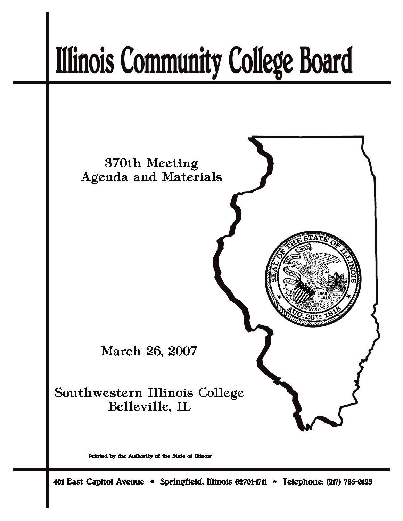# **Illinois Community College Board**



Printed by the Authority of the State of Illinois

401 East Capitol Avenue \* Springfield, Illinois 62701-1711 \* Telephone: (217) 785-0123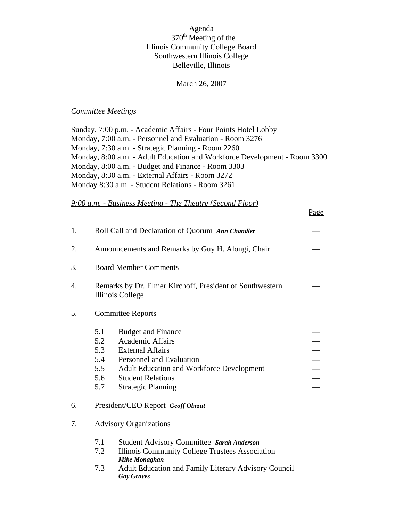## Agenda 370<sup>th</sup> Meeting of the Illinois Community College Board Southwestern Illinois College Belleville, Illinois

#### March 26, 2007

#### *Committee Meetings*

Sunday, 7:00 p.m. - Academic Affairs - Four Points Hotel Lobby Monday, 7:00 a.m. - Personnel and Evaluation - Room 3276 Monday, 7:30 a.m. - Strategic Planning - Room 2260 Monday, 8:00 a.m. - Adult Education and Workforce Development - Room 3300 Monday, 8:00 a.m. - Budget and Finance - Room 3303 Monday, 8:30 a.m. - External Affairs - Room 3272 Monday 8:30 a.m. - Student Relations - Room 3261

Page

*9:00 a.m. - Business Meeting - The Theatre (Second Floor)*

| 1. | Roll Call and Declaration of Quorum Ann Chandler                                                                                                                                                                                                                          |  |  |  |
|----|---------------------------------------------------------------------------------------------------------------------------------------------------------------------------------------------------------------------------------------------------------------------------|--|--|--|
| 2. | Announcements and Remarks by Guy H. Alongi, Chair                                                                                                                                                                                                                         |  |  |  |
| 3. | <b>Board Member Comments</b>                                                                                                                                                                                                                                              |  |  |  |
| 4. | Remarks by Dr. Elmer Kirchoff, President of Southwestern<br>Illinois College                                                                                                                                                                                              |  |  |  |
| 5. | <b>Committee Reports</b>                                                                                                                                                                                                                                                  |  |  |  |
|    | 5.1<br><b>Budget and Finance</b><br><b>Academic Affairs</b><br>5.2<br>5.3<br><b>External Affairs</b><br>5.4<br>Personnel and Evaluation<br>5.5<br><b>Adult Education and Workforce Development</b><br>5.6<br><b>Student Relations</b><br>5.7<br><b>Strategic Planning</b> |  |  |  |
| 6. | President/CEO Report Geoff Obrzut                                                                                                                                                                                                                                         |  |  |  |
| 7. | <b>Advisory Organizations</b>                                                                                                                                                                                                                                             |  |  |  |
|    | 7.1<br>Student Advisory Committee Sarah Anderson<br>7.2<br>Illinois Community College Trustees Association<br><b>Mike Monaghan</b><br>7.3<br><b>Adult Education and Family Literary Advisory Council</b><br><b>Gay Graves</b>                                             |  |  |  |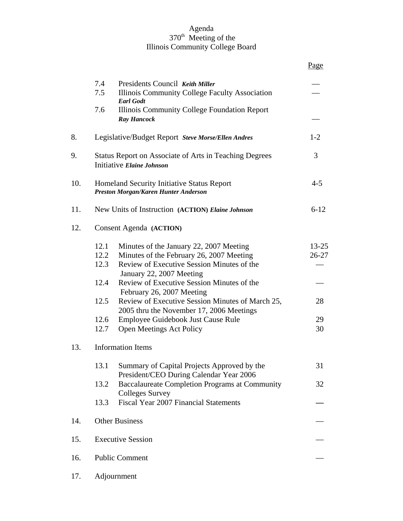## Agenda 370<sup>th</sup> Meeting of the Illinois Community College Board

|     |                                                                                                                                                                                                                                                                                                                                                                                                                                                                           | Page                                 |  |  |  |
|-----|---------------------------------------------------------------------------------------------------------------------------------------------------------------------------------------------------------------------------------------------------------------------------------------------------------------------------------------------------------------------------------------------------------------------------------------------------------------------------|--------------------------------------|--|--|--|
|     | 7.4<br>Presidents Council Keith Miller<br>7.5<br>Illinois Community College Faculty Association<br><b>Earl Godt</b>                                                                                                                                                                                                                                                                                                                                                       |                                      |  |  |  |
|     | 7.6<br>Illinois Community College Foundation Report<br><b>Ray Hancock</b>                                                                                                                                                                                                                                                                                                                                                                                                 |                                      |  |  |  |
| 8.  | Legislative/Budget Report Steve Morse/Ellen Andres                                                                                                                                                                                                                                                                                                                                                                                                                        | $1 - 2$                              |  |  |  |
| 9.  | 3<br>Status Report on Associate of Arts in Teaching Degrees<br>Initiative Elaine Johnson                                                                                                                                                                                                                                                                                                                                                                                  |                                      |  |  |  |
| 10. | Homeland Security Initiative Status Report<br>$4 - 5$<br>Preston Morgan/Karen Hunter Anderson                                                                                                                                                                                                                                                                                                                                                                             |                                      |  |  |  |
| 11. | $6 - 12$<br>New Units of Instruction (ACTION) Elaine Johnson                                                                                                                                                                                                                                                                                                                                                                                                              |                                      |  |  |  |
| 12. | Consent Agenda (ACTION)                                                                                                                                                                                                                                                                                                                                                                                                                                                   |                                      |  |  |  |
|     | 12.1<br>Minutes of the January 22, 2007 Meeting<br>Minutes of the February 26, 2007 Meeting<br>12.2<br>Review of Executive Session Minutes of the<br>12.3<br>January 22, 2007 Meeting<br>Review of Executive Session Minutes of the<br>12.4<br>February 26, 2007 Meeting<br>Review of Executive Session Minutes of March 25,<br>12.5<br>2005 thru the November 17, 2006 Meetings<br>12.6<br>Employee Guidebook Just Cause Rule<br>12.7<br><b>Open Meetings Act Policy</b> | 13-25<br>$26 - 27$<br>28<br>29<br>30 |  |  |  |
| 13. | <b>Information Items</b>                                                                                                                                                                                                                                                                                                                                                                                                                                                  |                                      |  |  |  |
|     | 13.1<br>Summary of Capital Projects Approved by the<br>President/CEO During Calendar Year 2006<br><b>Baccalaureate Completion Programs at Community</b><br>13.2                                                                                                                                                                                                                                                                                                           | 31<br>32                             |  |  |  |
|     | <b>Colleges Survey</b><br>Fiscal Year 2007 Financial Statements<br>13.3                                                                                                                                                                                                                                                                                                                                                                                                   |                                      |  |  |  |
| 14. | <b>Other Business</b>                                                                                                                                                                                                                                                                                                                                                                                                                                                     |                                      |  |  |  |
| 15. | <b>Executive Session</b>                                                                                                                                                                                                                                                                                                                                                                                                                                                  |                                      |  |  |  |
| 16. | <b>Public Comment</b>                                                                                                                                                                                                                                                                                                                                                                                                                                                     |                                      |  |  |  |
| 17. | Adjournment                                                                                                                                                                                                                                                                                                                                                                                                                                                               |                                      |  |  |  |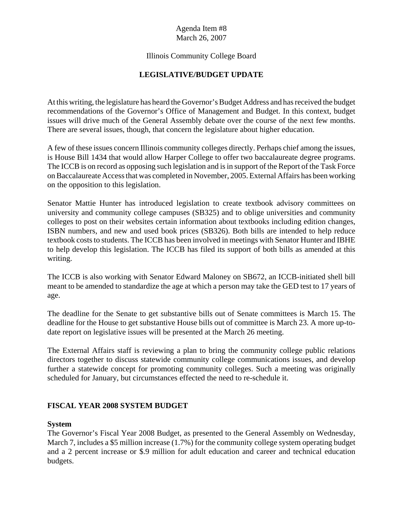## Illinois Community College Board

## **LEGISLATIVE/BUDGET UPDATE**

At this writing, the legislature has heard the Governor's Budget Address and has received the budget recommendations of the Governor's Office of Management and Budget. In this context, budget issues will drive much of the General Assembly debate over the course of the next few months. There are several issues, though, that concern the legislature about higher education.

A few of these issues concern Illinois community colleges directly. Perhaps chief among the issues, is House Bill 1434 that would allow Harper College to offer two baccalaureate degree programs. The ICCB is on record as opposing such legislation and is in support of the Report of the Task Force on Baccalaureate Access that was completed in November, 2005. External Affairs has been working on the opposition to this legislation.

Senator Mattie Hunter has introduced legislation to create textbook advisory committees on university and community college campuses (SB325) and to oblige universities and community colleges to post on their websites certain information about textbooks including edition changes, ISBN numbers, and new and used book prices (SB326). Both bills are intended to help reduce textbook costs to students. The ICCB has been involved in meetings with Senator Hunter and IBHE to help develop this legislation. The ICCB has filed its support of both bills as amended at this writing.

The ICCB is also working with Senator Edward Maloney on SB672, an ICCB-initiated shell bill meant to be amended to standardize the age at which a person may take the GED test to 17 years of age.

The deadline for the Senate to get substantive bills out of Senate committees is March 15. The deadline for the House to get substantive House bills out of committee is March 23. A more up-todate report on legislative issues will be presented at the March 26 meeting.

The External Affairs staff is reviewing a plan to bring the community college public relations directors together to discuss statewide community college communications issues, and develop further a statewide concept for promoting community colleges. Such a meeting was originally scheduled for January, but circumstances effected the need to re-schedule it.

## **FISCAL YEAR 2008 SYSTEM BUDGET**

#### **System**

The Governor's Fiscal Year 2008 Budget, as presented to the General Assembly on Wednesday, March 7, includes a \$5 million increase (1.7%) for the community college system operating budget and a 2 percent increase or \$.9 million for adult education and career and technical education budgets.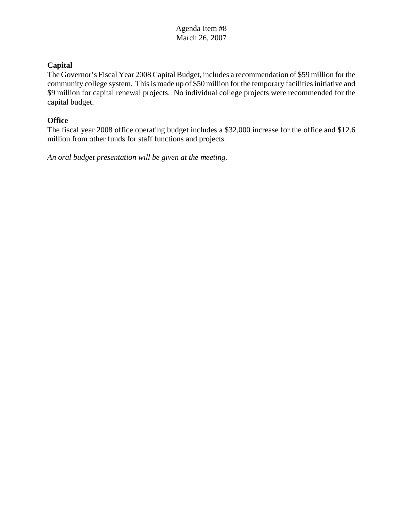## **Capital**

The Governor's Fiscal Year 2008 Capital Budget, includes a recommendation of \$59 million for the community college system. This is made up of \$50 million for the temporary facilities initiative and \$9 million for capital renewal projects. No individual college projects were recommended for the capital budget.

## **Office**

The fiscal year 2008 office operating budget includes a \$32,000 increase for the office and \$12.6 million from other funds for staff functions and projects.

*An oral budget presentation will be given at the meeting.*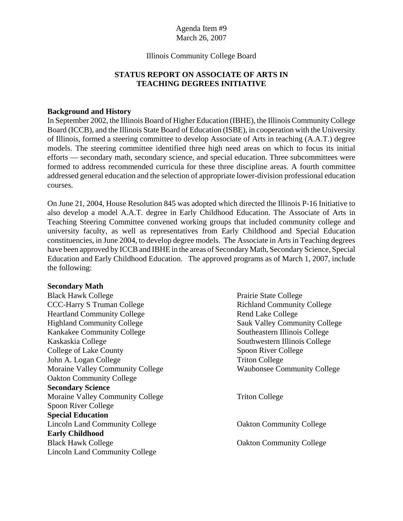#### Illinois Community College Board

## **STATUS REPORT ON ASSOCIATE OF ARTS IN TEACHING DEGREES INITIATIVE**

#### **Background and History**

In September 2002, the Illinois Board of Higher Education (IBHE), the Illinois Community College Board (ICCB), and the Illinois State Board of Education (ISBE), in cooperation with the University of Illinois, formed a steering committee to develop Associate of Arts in teaching (A.A.T.) degree models. The steering committee identified three high need areas on which to focus its initial efforts — secondary math, secondary science, and special education. Three subcommittees were formed to address recommended curricula for these three discipline areas. A fourth committee addressed general education and the selection of appropriate lower-division professional education courses.

On June 21, 2004, House Resolution 845 was adopted which directed the Illinois P-16 Initiative to also develop a model A.A.T. degree in Early Childhood Education. The Associate of Arts in Teaching Steering Committee convened working groups that included community college and university faculty, as well as representatives from Early Childhood and Special Education constituencies, in June 2004, to develop degree models. The Associate in Arts in Teaching degrees have been approved by ICCB and IBHE in the areas of Secondary Math, Secondary Science, Special Education and Early Childhood Education. The approved programs as of March 1, 2007, include the following:

#### **Secondary Math**

Black Hawk College **Prairie State College** Prairie State College CCC-Harry S Truman College Richland Community College Heartland Community College **Rend Lake College** Rend Lake College Highland Community College Sauk Valley Community College Kankakee Community College Southeastern Illinois College Kaskaskia College Southwestern Illinois College College of Lake County Spoon River College John A. Logan College Triton College Moraine Valley Community College Waubonsee Community College Oakton Community College **Secondary Science** Moraine Valley Community College Triton College Spoon River College **Special Education** Lincoln Land Community College Contract Contract College Contract College **Early Childhood** Black Hawk College **Oakton Community College** Oakton Community College Lincoln Land Community College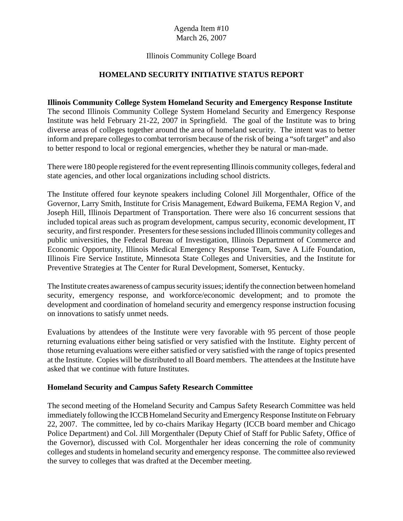## Illinois Community College Board

## **HOMELAND SECURITY INITIATIVE STATUS REPORT**

## **Illinois Community College System Homeland Security and Emergency Response Institute**

The second Illinois Community College System Homeland Security and Emergency Response Institute was held February 21-22, 2007 in Springfield. The goal of the Institute was to bring diverse areas of colleges together around the area of homeland security. The intent was to better inform and prepare colleges to combat terrorism because of the risk of being a "soft target" and also to better respond to local or regional emergencies, whether they be natural or man-made.

There were 180 people registered for the event representing Illinois community colleges, federal and state agencies, and other local organizations including school districts.

The Institute offered four keynote speakers including Colonel Jill Morgenthaler, Office of the Governor, Larry Smith, Institute for Crisis Management, Edward Buikema, FEMA Region V, and Joseph Hill, Illinois Department of Transportation. There were also 16 concurrent sessions that included topical areas such as program development, campus security, economic development, IT security, and first responder. Presenters for these sessions included Illinois community colleges and public universities, the Federal Bureau of Investigation, Illinois Department of Commerce and Economic Opportunity, Illinois Medical Emergency Response Team, Save A Life Foundation, Illinois Fire Service Institute, Minnesota State Colleges and Universities, and the Institute for Preventive Strategies at The Center for Rural Development, Somerset, Kentucky.

The Institute creates awareness of campus security issues; identify the connection between homeland security, emergency response, and workforce/economic development; and to promote the development and coordination of homeland security and emergency response instruction focusing on innovations to satisfy unmet needs.

Evaluations by attendees of the Institute were very favorable with 95 percent of those people returning evaluations either being satisfied or very satisfied with the Institute. Eighty percent of those returning evaluations were either satisfied or very satisfied with the range of topics presented at the Institute. Copies will be distributed to all Board members. The attendees at the Institute have asked that we continue with future Institutes.

#### **Homeland Security and Campus Safety Research Committee**

The second meeting of the Homeland Security and Campus Safety Research Committee was held immediately following the ICCB Homeland Security and Emergency Response Institute on February 22, 2007. The committee, led by co-chairs Marikay Hegarty (ICCB board member and Chicago Police Department) and Col. Jill Morgenthaler (Deputy Chief of Staff for Public Safety, Office of the Governor), discussed with Col. Morgenthaler her ideas concerning the role of community colleges and students in homeland security and emergency response. The committee also reviewed the survey to colleges that was drafted at the December meeting.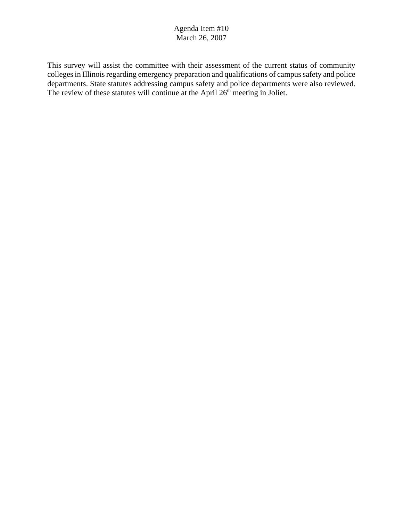This survey will assist the committee with their assessment of the current status of community colleges in Illinois regarding emergency preparation and qualifications of campus safety and police departments. State statutes addressing campus safety and police departments were also reviewed. The review of these statutes will continue at the April  $26<sup>th</sup>$  meeting in Joliet.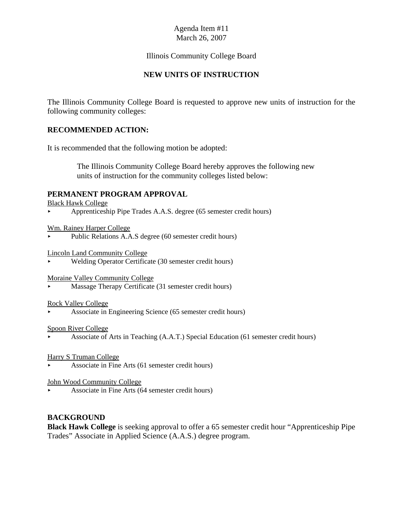## Illinois Community College Board

## **NEW UNITS OF INSTRUCTION**

The Illinois Community College Board is requested to approve new units of instruction for the following community colleges:

## **RECOMMENDED ACTION:**

It is recommended that the following motion be adopted:

 The Illinois Community College Board hereby approves the following new units of instruction for the community colleges listed below:

#### **PERMANENT PROGRAM APPROVAL**

Black Hawk College

< Apprenticeship Pipe Trades A.A.S. degree (65 semester credit hours)

Wm. Rainey Harper College

Public Relations A.A.S degree (60 semester credit hours)

Lincoln Land Community College

< Welding Operator Certificate (30 semester credit hours)

Moraine Valley Community College

< Massage Therapy Certificate (31 semester credit hours)

#### Rock Valley College

< Associate in Engineering Science (65 semester credit hours)

#### Spoon River College

< Associate of Arts in Teaching (A.A.T.) Special Education (61 semester credit hours)

Harry S Truman College

< Associate in Fine Arts (61 semester credit hours)

John Wood Community College

< Associate in Fine Arts (64 semester credit hours)

#### **BACKGROUND**

**Black Hawk College** is seeking approval to offer a 65 semester credit hour "Apprenticeship Pipe Trades" Associate in Applied Science (A.A.S.) degree program.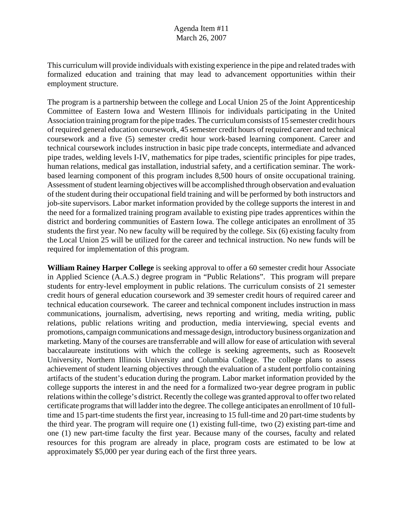This curriculum will provide individuals with existing experience in the pipe and related trades with formalized education and training that may lead to advancement opportunities within their employment structure.

The program is a partnership between the college and Local Union 25 of the Joint Apprenticeship Committee of Eastern Iowa and Western Illinois for individuals participating in the United Association training program for the pipe trades. The curriculum consists of 15 semester credit hours of required general education coursework, 45 semester credit hours of required career and technical coursework and a five (5) semester credit hour work-based learning component. Career and technical coursework includes instruction in basic pipe trade concepts, intermediate and advanced pipe trades, welding levels I-IV, mathematics for pipe trades, scientific principles for pipe trades, human relations, medical gas installation, industrial safety, and a certification seminar. The workbased learning component of this program includes 8,500 hours of onsite occupational training. Assessment of student learning objectives will be accomplished through observation and evaluation of the student during their occupational field training and will be performed by both instructors and job-site supervisors. Labor market information provided by the college supports the interest in and the need for a formalized training program available to existing pipe trades apprentices within the district and bordering communities of Eastern Iowa. The college anticipates an enrollment of 35 students the first year. No new faculty will be required by the college. Six (6) existing faculty from the Local Union 25 will be utilized for the career and technical instruction. No new funds will be required for implementation of this program.

**William Rainey Harper College** is seeking approval to offer a 60 semester credit hour Associate in Applied Science (A.A.S.) degree program in "Public Relations". This program will prepare students for entry-level employment in public relations. The curriculum consists of 21 semester credit hours of general education coursework and 39 semester credit hours of required career and technical education coursework. The career and technical component includes instruction in mass communications, journalism, advertising, news reporting and writing, media writing, public relations, public relations writing and production, media interviewing, special events and promotions, campaign communications and message design, introductory business organization and marketing. Many of the courses are transferrable and will allow for ease of articulation with several baccalaureate institutions with which the college is seeking agreements, such as Roosevelt University, Northern Illinois University and Columbia College. The college plans to assess achievement of student learning objectives through the evaluation of a student portfolio containing artifacts of the student's education during the program. Labor market information provided by the college supports the interest in and the need for a formalized two-year degree program in public relations within the college's district. Recently the college was granted approval to offer two related certificate programs that will ladder into the degree. The college anticipates an enrollment of 10 fulltime and 15 part-time students the first year, increasing to 15 full-time and 20 part-time students by the third year. The program will require one (1) existing full-time, two (2) existing part-time and one (1) new part-time faculty the first year. Because many of the courses, faculty and related resources for this program are already in place, program costs are estimated to be low at approximately \$5,000 per year during each of the first three years.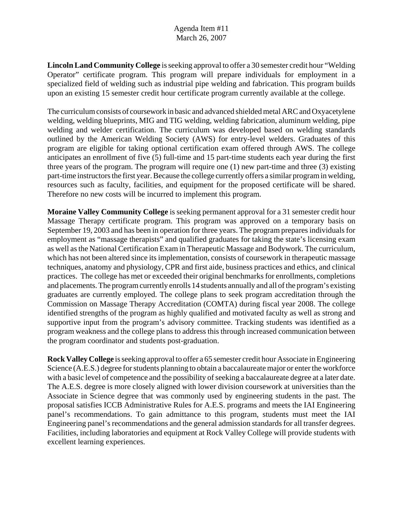**Lincoln Land Community College** is seeking approval to offer a 30 semester credit hour "Welding Operator" certificate program. This program will prepare individuals for employment in a specialized field of welding such as industrial pipe welding and fabrication. This program builds upon an existing 15 semester credit hour certificate program currently available at the college.

The curriculum consists of coursework in basic and advanced shielded metal ARC and Oxyacetylene welding, welding blueprints, MIG and TIG welding, welding fabrication, aluminum welding, pipe welding and welder certification. The curriculum was developed based on welding standards outlined by the American Welding Society (AWS) for entry-level welders. Graduates of this program are eligible for taking optional certification exam offered through AWS. The college anticipates an enrollment of five (5) full-time and 15 part-time students each year during the first three years of the program. The program will require one (1) new part-time and three (3) existing part-time instructors the first year. Because the college currently offers a similar program in welding, resources such as faculty, facilities, and equipment for the proposed certificate will be shared. Therefore no new costs will be incurred to implement this program.

**Moraine Valley Community College** is seeking permanent approval for a 31 semester credit hour Massage Therapy certificate program. This program was approved on a temporary basis on September 19, 2003 and has been in operation for three years. The program prepares individuals for employment as "massage therapists" and qualified graduates for taking the state's licensing exam as well as the National Certification Exam in Therapeutic Massage and Bodywork. The curriculum, which has not been altered since its implementation, consists of coursework in therapeutic massage techniques, anatomy and physiology, CPR and first aide, business practices and ethics, and clinical practices. The college has met or exceeded their original benchmarks for enrollments, completions and placements. The program currently enrolls 14 students annually and all of the program's existing graduates are currently employed. The college plans to seek program accreditation through the Commission on Massage Therapy Accreditation (COMTA) during fiscal year 2008. The college identified strengths of the program as highly qualified and motivated faculty as well as strong and supportive input from the program's advisory committee. Tracking students was identified as a program weakness and the college plans to address this through increased communication between the program coordinator and students post-graduation.

**Rock Valley College** is seeking approval to offer a 65 semester credit hour Associate in Engineering Science (A.E.S.) degree for students planning to obtain a baccalaureate major or enter the workforce with a basic level of competence and the possibility of seeking a baccalaureate degree at a later date. The A.E.S. degree is more closely aligned with lower division coursework at universities than the Associate in Science degree that was commonly used by engineering students in the past. The proposal satisfies ICCB Administrative Rules for A.E.S. programs and meets the IAI Engineering panel's recommendations. To gain admittance to this program, students must meet the IAI Engineering panel's recommendations and the general admission standards for all transfer degrees. Facilities, including laboratories and equipment at Rock Valley College will provide students with excellent learning experiences.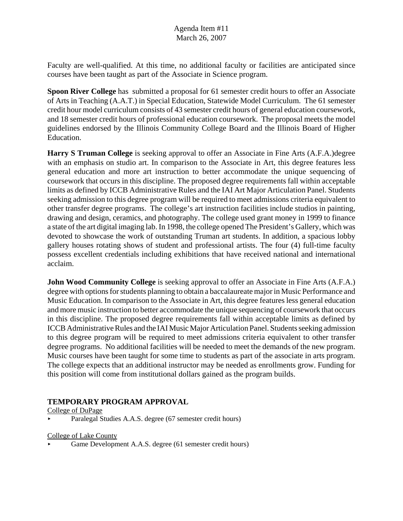Faculty are well-qualified. At this time, no additional faculty or facilities are anticipated since courses have been taught as part of the Associate in Science program.

**Spoon River College** has submitted a proposal for 61 semester credit hours to offer an Associate of Arts in Teaching (A.A.T.) in Special Education, Statewide Model Curriculum. The 61 semester credit hour model curriculum consists of 43 semester credit hours of general education coursework, and 18 semester credit hours of professional education coursework. The proposal meets the model guidelines endorsed by the Illinois Community College Board and the Illinois Board of Higher Education.

**Harry S Truman College** is seeking approval to offer an Associate in Fine Arts (A.F.A.)degree with an emphasis on studio art. In comparison to the Associate in Art, this degree features less general education and more art instruction to better accommodate the unique sequencing of coursework that occurs in this discipline. The proposed degree requirements fall within acceptable limits as defined by ICCB Administrative Rules and the IAI Art Major Articulation Panel. Students seeking admission to this degree program will be required to meet admissions criteria equivalent to other transfer degree programs. The college's art instruction facilities include studios in painting, drawing and design, ceramics, and photography. The college used grant money in 1999 to finance a state of the art digital imaging lab. In 1998, the college opened The President's Gallery, which was devoted to showcase the work of outstanding Truman art students. In addition, a spacious lobby gallery houses rotating shows of student and professional artists. The four (4) full-time faculty possess excellent credentials including exhibitions that have received national and international acclaim.

**John Wood Community College** is seeking approval to offer an Associate in Fine Arts (A.F.A.) degree with options for students planning to obtain a baccalaureate major in Music Performance and Music Education. In comparison to the Associate in Art, this degree features less general education and more music instruction to better accommodate the unique sequencing of coursework that occurs in this discipline. The proposed degree requirements fall within acceptable limits as defined by ICCB Administrative Rules and the IAI Music Major Articulation Panel. Students seeking admission to this degree program will be required to meet admissions criteria equivalent to other transfer degree programs. No additional facilities will be needed to meet the demands of the new program. Music courses have been taught for some time to students as part of the associate in arts program. The college expects that an additional instructor may be needed as enrollments grow. Funding for this position will come from institutional dollars gained as the program builds.

## **TEMPORARY PROGRAM APPROVAL**

College of DuPage

< Paralegal Studies A.A.S. degree (67 semester credit hours)

College of Lake County

Game Development A.A.S. degree (61 semester credit hours)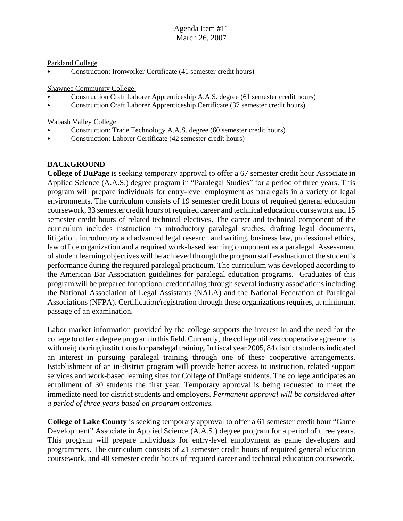#### Parkland College

< Construction: Ironworker Certificate (41 semester credit hours)

#### Shawnee Community College

- < Construction Craft Laborer Apprenticeship A.A.S. degree (61 semester credit hours)
- < Construction Craft Laborer Apprenticeship Certificate (37 semester credit hours)

Wabash Valley College

- < Construction: Trade Technology A.A.S. degree (60 semester credit hours)
- < Construction: Laborer Certificate (42 semester credit hours)

## **BACKGROUND**

**College of DuPage** is seeking temporary approval to offer a 67 semester credit hour Associate in Applied Science (A.A.S.) degree program in "Paralegal Studies" for a period of three years. This program will prepare individuals for entry-level employment as paralegals in a variety of legal environments. The curriculum consists of 19 semester credit hours of required general education coursework, 33 semester credit hours of required career and technical education coursework and 15 semester credit hours of related technical electives. The career and technical component of the curriculum includes instruction in introductory paralegal studies, drafting legal documents, litigation, introductory and advanced legal research and writing, business law, professional ethics, law office organization and a required work-based learning component as a paralegal. Assessment of student learning objectives will be achieved through the program staff evaluation of the student's performance during the required paralegal practicum. The curriculum was developed according to the American Bar Association guidelines for paralegal education programs. Graduates of this program will be prepared for optional credentialing through several industry associations including the National Association of Legal Assistants (NALA) and the National Federation of Paralegal Associations (NFPA). Certification/registration through these organizations requires, at minimum, passage of an examination.

Labor market information provided by the college supports the interest in and the need for the college to offer a degree program in this field. Currently, the college utilizes cooperative agreements with neighboring institutions for paralegal training. In fiscal year 2005, 84 district students indicated an interest in pursuing paralegal training through one of these cooperative arrangements. Establishment of an in-district program will provide better access to instruction, related support services and work-based learning sites for College of DuPage students. The college anticipates an enrollment of 30 students the first year. Temporary approval is being requested to meet the immediate need for district students and employers. *Permanent approval will be considered after a period of three years based on program outcomes.* 

**College of Lake County** is seeking temporary approval to offer a 61 semester credit hour "Game Development" Associate in Applied Science (A.A.S.) degree program for a period of three years. This program will prepare individuals for entry-level employment as game developers and programmers. The curriculum consists of 21 semester credit hours of required general education coursework, and 40 semester credit hours of required career and technical education coursework.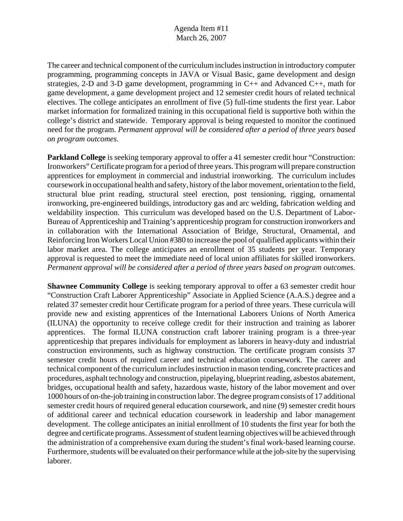The career and technical component of the curriculum includes instruction in introductory computer programming, programming concepts in JAVA or Visual Basic, game development and design strategies, 2-D and 3-D game development, programming in C++ and Advanced C++, math for game development, a game development project and 12 semester credit hours of related technical electives. The college anticipates an enrollment of five (5) full-time students the first year. Labor market information for formalized training in this occupational field is supportive both within the college's district and statewide. Temporary approval is being requested to monitor the continued need for the program. *Permanent approval will be considered after a period of three years based on program outcomes.* 

**Parkland College** is seeking temporary approval to offer a 41 semester credit hour "Construction: Ironworkers" Certificate program for a period of three years. This program will prepare construction apprentices for employment in commercial and industrial ironworking. The curriculum includes coursework in occupational health and safety, history of the labor movement, orientation to the field, structural blue print reading, structural steel erection, post tensioning, rigging, ornamental ironworking, pre-engineered buildings, introductory gas and arc welding, fabrication welding and weldability inspection. This curriculum was developed based on the U.S. Department of Labor-Bureau of Apprenticeship and Training's apprenticeship program for construction ironworkers and in collaboration with the International Association of Bridge, Structural, Ornamental, and Reinforcing Iron Workers Local Union #380 to increase the pool of qualified applicants within their labor market area. The college anticipates an enrollment of 35 students per year. Temporary approval is requested to meet the immediate need of local union affiliates for skilled ironworkers. *Permanent approval will be considered after a period of three years based on program outcomes.*

**Shawnee Community College** is seeking temporary approval to offer a 63 semester credit hour "Construction Craft Laborer Apprenticeship" Associate in Applied Science (A.A.S.) degree and a related 37 semester credit hour Certificate program for a period of three years. These curricula will provide new and existing apprentices of the International Laborers Unions of North America (ILUNA) the opportunity to receive college credit for their instruction and training as laborer apprentices. The formal ILUNA construction craft laborer training program is a three-year apprenticeship that prepares individuals for employment as laborers in heavy-duty and industrial construction environments, such as highway construction. The certificate program consists 37 semester credit hours of required career and technical education coursework. The career and technical component of the curriculum includes instruction in mason tending, concrete practices and procedures, asphalt technology and construction, pipelaying, blueprint reading, asbestos abatement, bridges, occupational health and safety, hazardous waste, history of the labor movement and over 1000 hours of on-the-job training in construction labor. The degree program consists of 17 additional semester credit hours of required general education coursework, and nine (9) semester credit hours of additional career and technical education coursework in leadership and labor management development. The college anticipates an initial enrollment of 10 students the first year for both the degree and certificate programs. Assessment of student learning objectives will be achieved through the administration of a comprehensive exam during the student's final work-based learning course. Furthermore, students will be evaluated on their performance while at the job-site by the supervising laborer.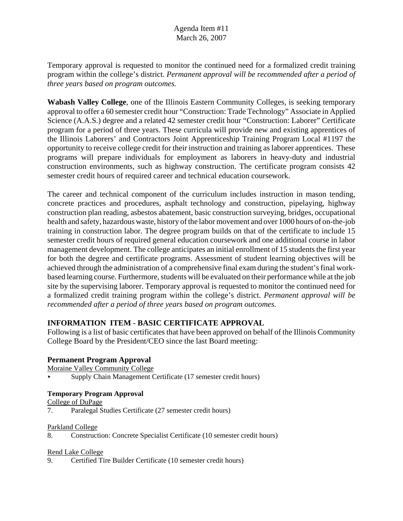Temporary approval is requested to monitor the continued need for a formalized credit training program within the college's district. *Permanent approval will be recommended after a period of three years based on program outcomes.* 

**Wabash Valley College**, one of the Illinois Eastern Community Colleges, is seeking temporary approval to offer a 60 semester credit hour "Construction: Trade Technology" Associate in Applied Science (A.A.S.) degree and a related 42 semester credit hour "Construction: Laborer" Certificate program for a period of three years. These curricula will provide new and existing apprentices of the Illinois Laborers' and Contractors Joint Apprenticeship Training Program Local #1197 the opportunity to receive college credit for their instruction and training as laborer apprentices. These programs will prepare individuals for employment as laborers in heavy-duty and industrial construction environments, such as highway construction. The certificate program consists 42 semester credit hours of required career and technical education coursework.

The career and technical component of the curriculum includes instruction in mason tending, concrete practices and procedures, asphalt technology and construction, pipelaying, highway construction plan reading, asbestos abatement, basic construction surveying, bridges, occupational health and safety, hazardous waste, history of the labor movement and over 1000 hours of on-the-job training in construction labor. The degree program builds on that of the certificate to include 15 semester credit hours of required general education coursework and one additional course in labor management development. The college anticipates an initial enrollment of 15 students the first year for both the degree and certificate programs. Assessment of student learning objectives will be achieved through the administration of a comprehensive final exam during the student's final workbased learning course. Furthermore, students will be evaluated on their performance while at the job site by the supervising laborer. Temporary approval is requested to monitor the continued need for a formalized credit training program within the college's district. *Permanent approval will be recommended after a period of three years based on program outcomes.* 

## **INFORMATION ITEM - BASIC CERTIFICATE APPROVAL**

Following is a list of basic certificates that have been approved on behalf of the Illinois Community College Board by the President/CEO since the last Board meeting:

## **Permanent Program Approval**

Moraine Valley Community College

< Supply Chain Management Certificate (17 semester credit hours)

## **Temporary Program Approval**

College of DuPage

7. Paralegal Studies Certificate (27 semester credit hours)

#### Parkland College

8. Construction: Concrete Specialist Certificate (10 semester credit hours)

#### Rend Lake College

9. Certified Tire Builder Certificate (10 semester credit hours)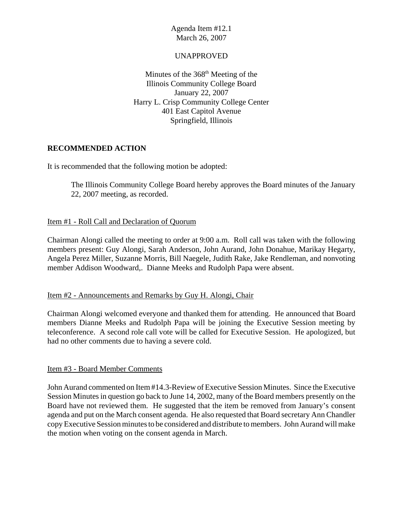## UNAPPROVED

Minutes of the  $368<sup>th</sup>$  Meeting of the Illinois Community College Board January 22, 2007 Harry L. Crisp Community College Center 401 East Capitol Avenue Springfield, Illinois

## **RECOMMENDED ACTION**

It is recommended that the following motion be adopted:

The Illinois Community College Board hereby approves the Board minutes of the January 22, 2007 meeting, as recorded.

#### Item #1 - Roll Call and Declaration of Quorum

Chairman Alongi called the meeting to order at 9:00 a.m. Roll call was taken with the following members present: Guy Alongi, Sarah Anderson, John Aurand, John Donahue, Marikay Hegarty, Angela Perez Miller, Suzanne Morris, Bill Naegele, Judith Rake, Jake Rendleman, and nonvoting member Addison Woodward,. Dianne Meeks and Rudolph Papa were absent.

#### Item #2 - Announcements and Remarks by Guy H. Alongi, Chair

Chairman Alongi welcomed everyone and thanked them for attending. He announced that Board members Dianne Meeks and Rudolph Papa will be joining the Executive Session meeting by teleconference. A second role call vote will be called for Executive Session. He apologized, but had no other comments due to having a severe cold.

#### Item #3 - Board Member Comments

John Aurand commented on Item #14.3-Review of Executive Session Minutes. Since the Executive Session Minutes in question go back to June 14, 2002, many of the Board members presently on the Board have not reviewed them. He suggested that the item be removed from January's consent agenda and put on the March consent agenda. He also requested that Board secretary Ann Chandler copy Executive Session minutes to be considered and distribute to members. John Aurand will make the motion when voting on the consent agenda in March.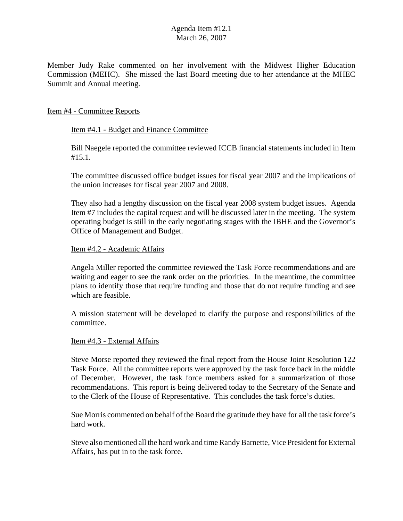Member Judy Rake commented on her involvement with the Midwest Higher Education Commission (MEHC). She missed the last Board meeting due to her attendance at the MHEC Summit and Annual meeting.

#### Item #4 - Committee Reports

#### Item #4.1 - Budget and Finance Committee

Bill Naegele reported the committee reviewed ICCB financial statements included in Item #15.1.

The committee discussed office budget issues for fiscal year 2007 and the implications of the union increases for fiscal year 2007 and 2008.

They also had a lengthy discussion on the fiscal year 2008 system budget issues. Agenda Item #7 includes the capital request and will be discussed later in the meeting. The system operating budget is still in the early negotiating stages with the IBHE and the Governor's Office of Management and Budget.

#### Item #4.2 - Academic Affairs

Angela Miller reported the committee reviewed the Task Force recommendations and are waiting and eager to see the rank order on the priorities. In the meantime, the committee plans to identify those that require funding and those that do not require funding and see which are feasible.

A mission statement will be developed to clarify the purpose and responsibilities of the committee.

#### Item #4.3 - External Affairs

Steve Morse reported they reviewed the final report from the House Joint Resolution 122 Task Force. All the committee reports were approved by the task force back in the middle of December. However, the task force members asked for a summarization of those recommendations. This report is being delivered today to the Secretary of the Senate and to the Clerk of the House of Representative. This concludes the task force's duties.

Sue Morris commented on behalf of the Board the gratitude they have for all the task force's hard work.

Steve also mentioned all the hard work and time Randy Barnette, Vice President for External Affairs, has put in to the task force.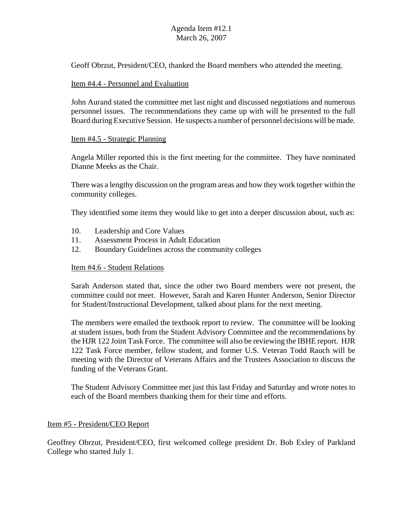Geoff Obrzut, President/CEO, thanked the Board members who attended the meeting.

#### Item #4.4 - Personnel and Evaluation

John Aurand stated the committee met last night and discussed negotiations and numerous personnel issues. The recommendations they came up with will be presented to the full Board during Executive Session. He suspects a number of personnel decisions will be made.

#### Item #4.5 - Strategic Planning

Angela Miller reported this is the first meeting for the committee. They have nominated Dianne Meeks as the Chair.

There was a lengthy discussion on the program areas and how they work together within the community colleges.

They identified some items they would like to get into a deeper discussion about, such as:

- 10. Leadership and Core Values
- 11. Assessment Process in Adult Education
- 12. Boundary Guidelines across the community colleges

#### Item #4.6 - Student Relations

Sarah Anderson stated that, since the other two Board members were not present, the committee could not meet. However, Sarah and Karen Hunter Anderson, Senior Director for Student/Instructional Development, talked about plans for the next meeting.

The members were emailed the textbook report to review. The committee will be looking at student issues, both from the Student Advisory Committee and the recommendations by the HJR 122 Joint Task Force. The committee will also be reviewing the IBHE report. HJR 122 Task Force member, fellow student, and former U.S. Veteran Todd Rauch will be meeting with the Director of Veterans Affairs and the Trustees Association to discuss the funding of the Veterans Grant.

The Student Advisory Committee met just this last Friday and Saturday and wrote notes to each of the Board members thanking them for their time and efforts.

#### Item #5 - President/CEO Report

Geoffrey Obrzut, President/CEO, first welcomed college president Dr. Bob Exley of Parkland College who started July 1.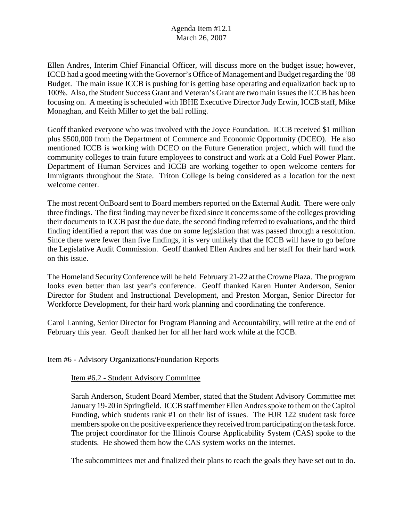Ellen Andres, Interim Chief Financial Officer, will discuss more on the budget issue; however, ICCB had a good meeting with the Governor's Office of Management and Budget regarding the '08 Budget. The main issue ICCB is pushing for is getting base operating and equalization back up to 100%. Also, the Student Success Grant and Veteran's Grant are two main issues the ICCB has been focusing on. A meeting is scheduled with IBHE Executive Director Judy Erwin, ICCB staff, Mike Monaghan, and Keith Miller to get the ball rolling.

Geoff thanked everyone who was involved with the Joyce Foundation. ICCB received \$1 million plus \$500,000 from the Department of Commerce and Economic Opportunity (DCEO). He also mentioned ICCB is working with DCEO on the Future Generation project, which will fund the community colleges to train future employees to construct and work at a Cold Fuel Power Plant. Department of Human Services and ICCB are working together to open welcome centers for Immigrants throughout the State. Triton College is being considered as a location for the next welcome center.

The most recent OnBoard sent to Board members reported on the External Audit. There were only three findings. The first finding may never be fixed since it concerns some of the colleges providing their documents to ICCB past the due date, the second finding referred to evaluations, and the third finding identified a report that was due on some legislation that was passed through a resolution. Since there were fewer than five findings, it is very unlikely that the ICCB will have to go before the Legislative Audit Commission. Geoff thanked Ellen Andres and her staff for their hard work on this issue.

The Homeland Security Conference will be held February 21-22 at the Crowne Plaza. The program looks even better than last year's conference. Geoff thanked Karen Hunter Anderson, Senior Director for Student and Instructional Development, and Preston Morgan, Senior Director for Workforce Development, for their hard work planning and coordinating the conference.

Carol Lanning, Senior Director for Program Planning and Accountability, will retire at the end of February this year. Geoff thanked her for all her hard work while at the ICCB.

## Item #6 - Advisory Organizations/Foundation Reports

#### Item #6.2 - Student Advisory Committee

Sarah Anderson, Student Board Member, stated that the Student Advisory Committee met January 19-20 in Springfield. ICCB staff member Ellen Andres spoke to them on the Capitol Funding, which students rank #1 on their list of issues. The HJR 122 student task force members spoke on the positive experience they received from participating on the task force. The project coordinator for the Illinois Course Applicability System (CAS) spoke to the students. He showed them how the CAS system works on the internet.

The subcommittees met and finalized their plans to reach the goals they have set out to do.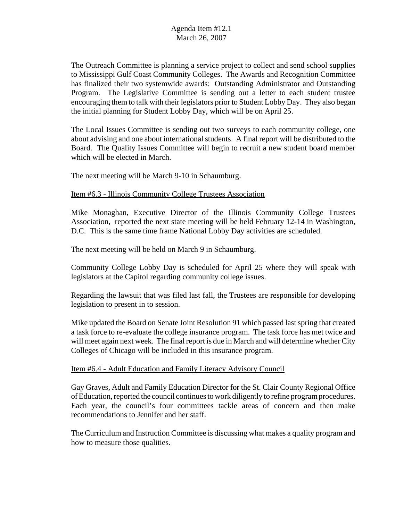The Outreach Committee is planning a service project to collect and send school supplies to Mississippi Gulf Coast Community Colleges. The Awards and Recognition Committee has finalized their two systemwide awards: Outstanding Administrator and Outstanding Program. The Legislative Committee is sending out a letter to each student trustee encouraging them to talk with their legislators prior to Student Lobby Day. They also began the initial planning for Student Lobby Day, which will be on April 25.

The Local Issues Committee is sending out two surveys to each community college, one about advising and one about international students. A final report will be distributed to the Board. The Quality Issues Committee will begin to recruit a new student board member which will be elected in March.

The next meeting will be March 9-10 in Schaumburg.

#### Item #6.3 - Illinois Community College Trustees Association

Mike Monaghan, Executive Director of the Illinois Community College Trustees Association, reported the next state meeting will be held February 12-14 in Washington, D.C. This is the same time frame National Lobby Day activities are scheduled.

The next meeting will be held on March 9 in Schaumburg.

Community College Lobby Day is scheduled for April 25 where they will speak with legislators at the Capitol regarding community college issues.

Regarding the lawsuit that was filed last fall, the Trustees are responsible for developing legislation to present in to session.

Mike updated the Board on Senate Joint Resolution 91 which passed last spring that created a task force to re-evaluate the college insurance program. The task force has met twice and will meet again next week. The final report is due in March and will determine whether City Colleges of Chicago will be included in this insurance program.

#### Item #6.4 - Adult Education and Family Literacy Advisory Council

Gay Graves, Adult and Family Education Director for the St. Clair County Regional Office of Education, reported the council continues to work diligently to refine program procedures. Each year, the council's four committees tackle areas of concern and then make recommendations to Jennifer and her staff.

The Curriculum and Instruction Committee is discussing what makes a quality program and how to measure those qualities.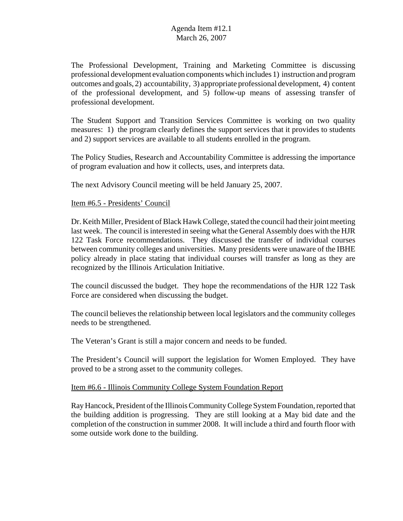The Professional Development, Training and Marketing Committee is discussing professional development evaluation components which includes 1) instruction and program outcomes and goals, 2) accountability, 3) appropriate professional development, 4) content of the professional development, and 5) follow-up means of assessing transfer of professional development.

The Student Support and Transition Services Committee is working on two quality measures: 1) the program clearly defines the support services that it provides to students and 2) support services are available to all students enrolled in the program.

The Policy Studies, Research and Accountability Committee is addressing the importance of program evaluation and how it collects, uses, and interprets data.

The next Advisory Council meeting will be held January 25, 2007.

#### Item #6.5 - Presidents' Council

Dr. Keith Miller, President of Black Hawk College, stated the council had their joint meeting last week. The council is interested in seeing what the General Assembly does with the HJR 122 Task Force recommendations. They discussed the transfer of individual courses between community colleges and universities. Many presidents were unaware of the IBHE policy already in place stating that individual courses will transfer as long as they are recognized by the Illinois Articulation Initiative.

The council discussed the budget. They hope the recommendations of the HJR 122 Task Force are considered when discussing the budget.

The council believes the relationship between local legislators and the community colleges needs to be strengthened.

The Veteran's Grant is still a major concern and needs to be funded.

The President's Council will support the legislation for Women Employed. They have proved to be a strong asset to the community colleges.

#### Item #6.6 - Illinois Community College System Foundation Report

Ray Hancock, President of the Illinois Community College System Foundation, reported that the building addition is progressing. They are still looking at a May bid date and the completion of the construction in summer 2008. It will include a third and fourth floor with some outside work done to the building.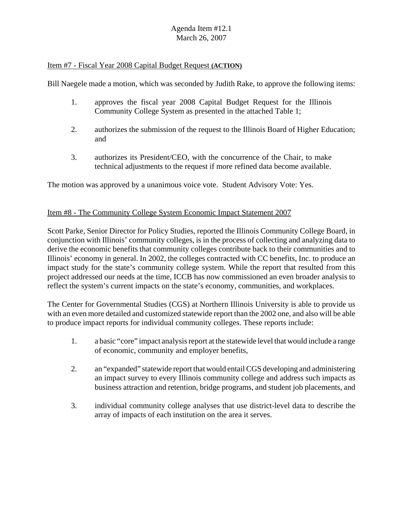#### Item #7 - Fiscal Year 2008 Capital Budget Request **(ACTION)**

Bill Naegele made a motion, which was seconded by Judith Rake, to approve the following items:

- 1. approves the fiscal year 2008 Capital Budget Request for the Illinois Community College System as presented in the attached Table 1;
- 2. authorizes the submission of the request to the Illinois Board of Higher Education; and
- 3. authorizes its President/CEO, with the concurrence of the Chair, to make technical adjustments to the request if more refined data become available.

The motion was approved by a unanimous voice vote. Student Advisory Vote: Yes.

#### Item #8 - The Community College System Economic Impact Statement 2007

Scott Parke, Senior Director for Policy Studies, reported the Illinois Community College Board, in conjunction with Illinois' community colleges, is in the process of collecting and analyzing data to derive the economic benefits that community colleges contribute back to their communities and to Illinois' economy in general. In 2002, the colleges contracted with CC benefits, Inc. to produce an impact study for the state's community college system. While the report that resulted from this project addressed our needs at the time, ICCB has now commissioned an even broader analysis to reflect the system's current impacts on the state's economy, communities, and workplaces.

The Center for Governmental Studies (CGS) at Northern Illinois University is able to provide us with an even more detailed and customized statewide report than the 2002 one, and also will be able to produce impact reports for individual community colleges. These reports include:

- 1. a basic "core" impact analysis report at the statewide level that would include a range of economic, community and employer benefits,
- 2. an "expanded" statewide report that would entail CGS developing and administering an impact survey to every Illinois community college and address such impacts as business attraction and retention, bridge programs, and student job placements, and
- 3. individual community college analyses that use district-level data to describe the array of impacts of each institution on the area it serves.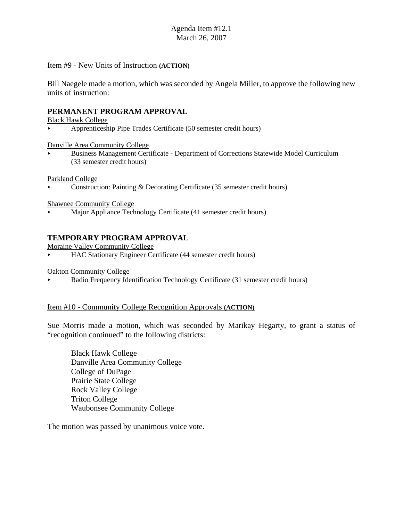#### Item #9 - New Units of Instruction **(ACTION)**

Bill Naegele made a motion, which was seconded by Angela Miller, to approve the following new units of instruction:

#### **PERMANENT PROGRAM APPROVAL**

Black Hawk College

 $\blacktriangleright$  Apprenticeship Pipe Trades Certificate (50 semester credit hours)

Danville Area Community College

< Business Management Certificate - Department of Corrections Statewide Model Curriculum (33 semester credit hours)

Parkland College

< Construction: Painting & Decorating Certificate (35 semester credit hours)

Shawnee Community College

< Major Appliance Technology Certificate (41 semester credit hours)

## **TEMPORARY PROGRAM APPROVAL**

Moraine Valley Community College

< HAC Stationary Engineer Certificate (44 semester credit hours)

Oakton Community College

< Radio Frequency Identification Technology Certificate (31 semester credit hours)

#### Item #10 - Community College Recognition Approvals **(ACTION)**

Sue Morris made a motion, which was seconded by Marikay Hegarty, to grant a status of "recognition continued" to the following districts:

Black Hawk College Danville Area Community College College of DuPage Prairie State College Rock Valley College Triton College Waubonsee Community College

The motion was passed by unanimous voice vote.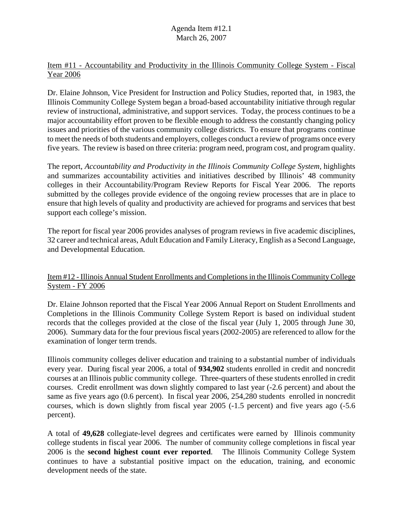## Item #11 - Accountability and Productivity in the Illinois Community College System - Fiscal Year 2006

Dr. Elaine Johnson, Vice President for Instruction and Policy Studies, reported that, in 1983, the Illinois Community College System began a broad-based accountability initiative through regular review of instructional, administrative, and support services. Today, the process continues to be a major accountability effort proven to be flexible enough to address the constantly changing policy issues and priorities of the various community college districts. To ensure that programs continue to meet the needs of both students and employers, colleges conduct a review of programs once every five years. The review is based on three criteria: program need, program cost, and program quality.

The report, *Accountability and Productivity in the Illinois Community College System, highlights* and summarizes accountability activities and initiatives described by Illinois' 48 community colleges in their Accountability/Program Review Reports for Fiscal Year 2006. The reports submitted by the colleges provide evidence of the ongoing review processes that are in place to ensure that high levels of quality and productivity are achieved for programs and services that best support each college's mission.

The report for fiscal year 2006 provides analyses of program reviews in five academic disciplines, 32 career and technical areas, Adult Education and Family Literacy, English as a Second Language, and Developmental Education.

## Item #12 - Illinois Annual Student Enrollments and Completions in the Illinois Community College System - FY 2006

Dr. Elaine Johnson reported that the Fiscal Year 2006 Annual Report on Student Enrollments and Completions in the Illinois Community College System Report is based on individual student records that the colleges provided at the close of the fiscal year (July 1, 2005 through June 30, 2006). Summary data for the four previous fiscal years (2002-2005) are referenced to allow for the examination of longer term trends.

Illinois community colleges deliver education and training to a substantial number of individuals every year. During fiscal year 2006, a total of **934,902** students enrolled in credit and noncredit courses at an Illinois public community college. Three-quarters of these students enrolled in credit courses. Credit enrollment was down slightly compared to last year (-2.6 percent) and about the same as five years ago (0.6 percent). In fiscal year 2006, 254,280 students enrolled in noncredit courses, which is down slightly from fiscal year 2005 (-1.5 percent) and five years ago (-5.6 percent).

A total of **49,628** collegiate-level degrees and certificates were earned by Illinois community college students in fiscal year 2006. The number of community college completions in fiscal year 2006 is the **second highest count ever reported**. The Illinois Community College System continues to have a substantial positive impact on the education, training, and economic development needs of the state.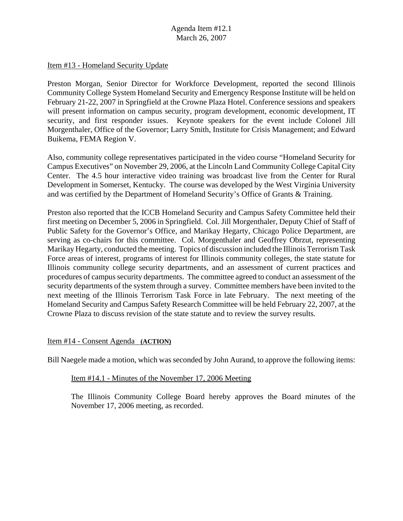#### Item #13 - Homeland Security Update

Preston Morgan, Senior Director for Workforce Development, reported the second Illinois Community College System Homeland Security and Emergency Response Institute will be held on February 21-22, 2007 in Springfield at the Crowne Plaza Hotel. Conference sessions and speakers will present information on campus security, program development, economic development, IT security, and first responder issues. Keynote speakers for the event include Colonel Jill Morgenthaler, Office of the Governor; Larry Smith, Institute for Crisis Management; and Edward Buikema, FEMA Region V.

Also, community college representatives participated in the video course "Homeland Security for Campus Executives" on November 29, 2006, at the Lincoln Land Community College Capital City Center. The 4.5 hour interactive video training was broadcast live from the Center for Rural Development in Somerset, Kentucky. The course was developed by the West Virginia University and was certified by the Department of Homeland Security's Office of Grants & Training.

Preston also reported that the ICCB Homeland Security and Campus Safety Committee held their first meeting on December 5, 2006 in Springfield. Col. Jill Morgenthaler, Deputy Chief of Staff of Public Safety for the Governor's Office, and Marikay Hegarty, Chicago Police Department, are serving as co-chairs for this committee. Col. Morgenthaler and Geoffrey Obrzut, representing Marikay Hegarty, conducted the meeting. Topics of discussion included the Illinois Terrorism Task Force areas of interest, programs of interest for Illinois community colleges, the state statute for Illinois community college security departments, and an assessment of current practices and procedures of campus security departments. The committee agreed to conduct an assessment of the security departments of the system through a survey. Committee members have been invited to the next meeting of the Illinois Terrorism Task Force in late February. The next meeting of the Homeland Security and Campus Safety Research Committee will be held February 22, 2007, at the Crowne Plaza to discuss revision of the state statute and to review the survey results.

#### Item #14 - Consent Agenda **(ACTION)**

Bill Naegele made a motion, which was seconded by John Aurand, to approve the following items:

## Item #14.1 - Minutes of the November 17, 2006 Meeting

The Illinois Community College Board hereby approves the Board minutes of the November 17, 2006 meeting, as recorded.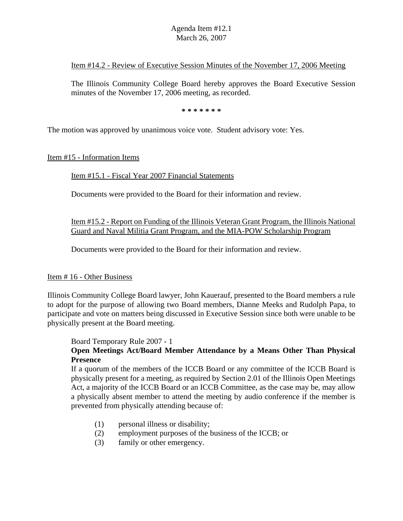#### Item #14.2 - Review of Executive Session Minutes of the November 17, 2006 Meeting

The Illinois Community College Board hereby approves the Board Executive Session minutes of the November 17, 2006 meeting, as recorded.

**\* \* \* \* \* \* \***

The motion was approved by unanimous voice vote. Student advisory vote: Yes.

Item #15 - Information Items

#### Item #15.1 - Fiscal Year 2007 Financial Statements

Documents were provided to the Board for their information and review.

#### Item #15.2 - Report on Funding of the Illinois Veteran Grant Program, the Illinois National Guard and Naval Militia Grant Program, and the MIA-POW Scholarship Program

Documents were provided to the Board for their information and review.

#### Item # 16 - Other Business

Illinois Community College Board lawyer, John Kauerauf, presented to the Board members a rule to adopt for the purpose of allowing two Board members, Dianne Meeks and Rudolph Papa, to participate and vote on matters being discussed in Executive Session since both were unable to be physically present at the Board meeting.

Board Temporary Rule 2007 - 1

## **Open Meetings Act/Board Member Attendance by a Means Other Than Physical Presence**

If a quorum of the members of the ICCB Board or any committee of the ICCB Board is physically present for a meeting, as required by Section 2.01 of the Illinois Open Meetings Act, a majority of the ICCB Board or an ICCB Committee, as the case may be, may allow a physically absent member to attend the meeting by audio conference if the member is prevented from physically attending because of:

- (1) personal illness or disability;
- (2) employment purposes of the business of the ICCB; or
- (3) family or other emergency.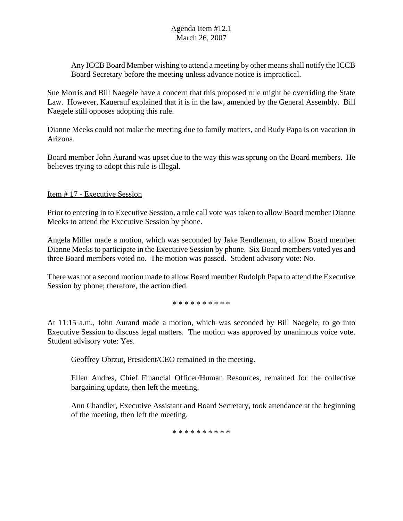Any ICCB Board Member wishing to attend a meeting by other means shall notify the ICCB Board Secretary before the meeting unless advance notice is impractical.

Sue Morris and Bill Naegele have a concern that this proposed rule might be overriding the State Law. However, Kauerauf explained that it is in the law, amended by the General Assembly. Bill Naegele still opposes adopting this rule.

Dianne Meeks could not make the meeting due to family matters, and Rudy Papa is on vacation in Arizona.

Board member John Aurand was upset due to the way this was sprung on the Board members. He believes trying to adopt this rule is illegal.

Item # 17 - Executive Session

Prior to entering in to Executive Session, a role call vote was taken to allow Board member Dianne Meeks to attend the Executive Session by phone.

Angela Miller made a motion, which was seconded by Jake Rendleman, to allow Board member Dianne Meeks to participate in the Executive Session by phone. Six Board members voted yes and three Board members voted no. The motion was passed. Student advisory vote: No.

There was not a second motion made to allow Board member Rudolph Papa to attend the Executive Session by phone; therefore, the action died.

\* \* \* \* \* \* \* \* \* \*

At 11:15 a.m., John Aurand made a motion, which was seconded by Bill Naegele, to go into Executive Session to discuss legal matters. The motion was approved by unanimous voice vote. Student advisory vote: Yes.

Geoffrey Obrzut, President/CEO remained in the meeting.

Ellen Andres, Chief Financial Officer/Human Resources, remained for the collective bargaining update, then left the meeting.

Ann Chandler, Executive Assistant and Board Secretary, took attendance at the beginning of the meeting, then left the meeting.

\* \* \* \* \* \* \* \* \* \*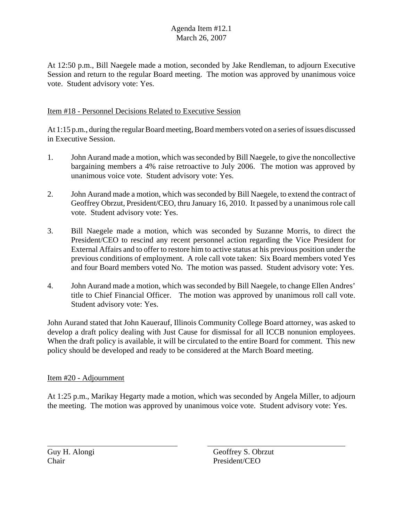At 12:50 p.m., Bill Naegele made a motion, seconded by Jake Rendleman, to adjourn Executive Session and return to the regular Board meeting. The motion was approved by unanimous voice vote. Student advisory vote: Yes.

## Item #18 - Personnel Decisions Related to Executive Session

At 1:15 p.m., during the regular Board meeting, Board members voted on a series of issues discussed in Executive Session.

- 1. John Aurand made a motion, which was seconded by Bill Naegele, to give the noncollective bargaining members a 4% raise retroactive to July 2006. The motion was approved by unanimous voice vote. Student advisory vote: Yes.
- 2. John Aurand made a motion, which was seconded by Bill Naegele, to extend the contract of Geoffrey Obrzut, President/CEO, thru January 16, 2010. It passed by a unanimous role call vote. Student advisory vote: Yes.
- 3. Bill Naegele made a motion, which was seconded by Suzanne Morris, to direct the President/CEO to rescind any recent personnel action regarding the Vice President for External Affairs and to offer to restore him to active status at his previous position under the previous conditions of employment. A role call vote taken: Six Board members voted Yes and four Board members voted No. The motion was passed. Student advisory vote: Yes.
- 4. John Aurand made a motion, which was seconded by Bill Naegele, to change Ellen Andres' title to Chief Financial Officer. The motion was approved by unanimous roll call vote. Student advisory vote: Yes.

John Aurand stated that John Kauerauf, Illinois Community College Board attorney, was asked to develop a draft policy dealing with Just Cause for dismissal for all ICCB nonunion employees. When the draft policy is available, it will be circulated to the entire Board for comment. This new policy should be developed and ready to be considered at the March Board meeting.

#### Item #20 - Adjournment

At 1:25 p.m., Marikay Hegarty made a motion, which was seconded by Angela Miller, to adjourn the meeting. The motion was approved by unanimous voice vote. Student advisory vote: Yes.

Guy H. Alongi Geoffrey S. Obrzut Chair President/CEO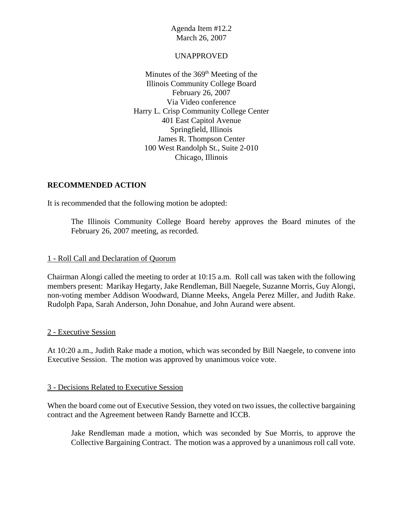#### UNAPPROVED

Minutes of the  $369<sup>th</sup>$  Meeting of the Illinois Community College Board February 26, 2007 Via Video conference Harry L. Crisp Community College Center 401 East Capitol Avenue Springfield, Illinois James R. Thompson Center 100 West Randolph St., Suite 2-010 Chicago, Illinois

## **RECOMMENDED ACTION**

It is recommended that the following motion be adopted:

The Illinois Community College Board hereby approves the Board minutes of the February 26, 2007 meeting, as recorded.

#### 1 - Roll Call and Declaration of Quorum

Chairman Alongi called the meeting to order at 10:15 a.m. Roll call was taken with the following members present: Marikay Hegarty, Jake Rendleman, Bill Naegele, Suzanne Morris, Guy Alongi, non-voting member Addison Woodward, Dianne Meeks, Angela Perez Miller, and Judith Rake. Rudolph Papa, Sarah Anderson, John Donahue, and John Aurand were absent.

#### 2 - Executive Session

At 10:20 a.m., Judith Rake made a motion, which was seconded by Bill Naegele, to convene into Executive Session. The motion was approved by unanimous voice vote.

#### 3 - Decisions Related to Executive Session

When the board come out of Executive Session, they voted on two issues, the collective bargaining contract and the Agreement between Randy Barnette and ICCB.

Jake Rendleman made a motion, which was seconded by Sue Morris, to approve the Collective Bargaining Contract. The motion was a approved by a unanimous roll call vote.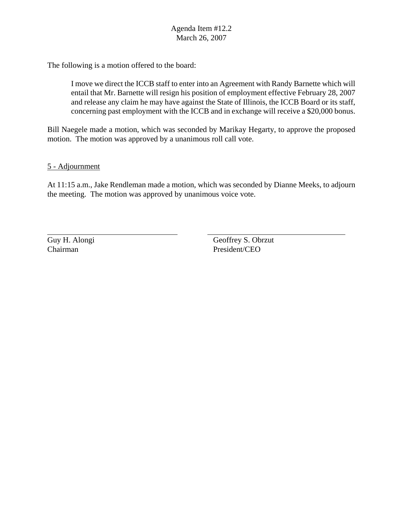The following is a motion offered to the board:

I move we direct the ICCB staff to enter into an Agreement with Randy Barnette which will entail that Mr. Barnette will resign his position of employment effective February 28, 2007 and release any claim he may have against the State of Illinois, the ICCB Board or its staff, concerning past employment with the ICCB and in exchange will receive a \$20,000 bonus.

Bill Naegele made a motion, which was seconded by Marikay Hegarty, to approve the proposed motion. The motion was approved by a unanimous roll call vote.

5 - Adjournment

At 11:15 a.m., Jake Rendleman made a motion, which was seconded by Dianne Meeks, to adjourn the meeting. The motion was approved by unanimous voice vote.

Guy H. Alongi Geoffrey S. Obrzut Chairman President/CEO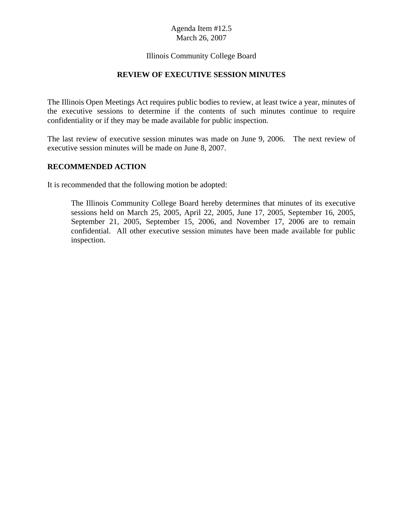#### Illinois Community College Board

## **REVIEW OF EXECUTIVE SESSION MINUTES**

The Illinois Open Meetings Act requires public bodies to review, at least twice a year, minutes of the executive sessions to determine if the contents of such minutes continue to require confidentiality or if they may be made available for public inspection.

The last review of executive session minutes was made on June 9, 2006. The next review of executive session minutes will be made on June 8, 2007.

#### **RECOMMENDED ACTION**

It is recommended that the following motion be adopted:

The Illinois Community College Board hereby determines that minutes of its executive sessions held on March 25, 2005, April 22, 2005, June 17, 2005, September 16, 2005, September 21, 2005, September 15, 2006, and November 17, 2006 are to remain confidential. All other executive session minutes have been made available for public inspection.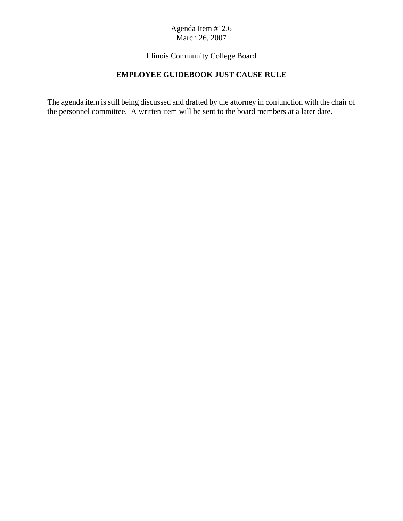## Illinois Community College Board

## **EMPLOYEE GUIDEBOOK JUST CAUSE RULE**

The agenda item is still being discussed and drafted by the attorney in conjunction with the chair of the personnel committee. A written item will be sent to the board members at a later date.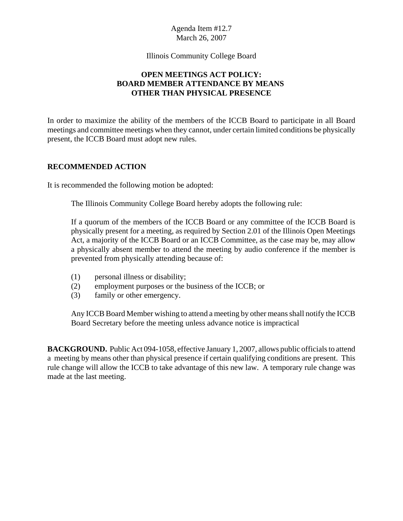Illinois Community College Board

## **OPEN MEETINGS ACT POLICY: BOARD MEMBER ATTENDANCE BY MEANS OTHER THAN PHYSICAL PRESENCE**

In order to maximize the ability of the members of the ICCB Board to participate in all Board meetings and committee meetings when they cannot, under certain limited conditions be physically present, the ICCB Board must adopt new rules.

## **RECOMMENDED ACTION**

It is recommended the following motion be adopted:

The Illinois Community College Board hereby adopts the following rule:

If a quorum of the members of the ICCB Board or any committee of the ICCB Board is physically present for a meeting, as required by Section 2.01 of the Illinois Open Meetings Act, a majority of the ICCB Board or an ICCB Committee, as the case may be, may allow a physically absent member to attend the meeting by audio conference if the member is prevented from physically attending because of:

- (1) personal illness or disability;
- (2) employment purposes or the business of the ICCB; or
- (3) family or other emergency.

Any ICCB Board Member wishing to attend a meeting by other means shall notify the ICCB Board Secretary before the meeting unless advance notice is impractical

**BACKGROUND.** Public Act 094-1058, effective January 1, 2007, allows public officials to attend a meeting by means other than physical presence if certain qualifying conditions are present. This rule change will allow the ICCB to take advantage of this new law. A temporary rule change was made at the last meeting.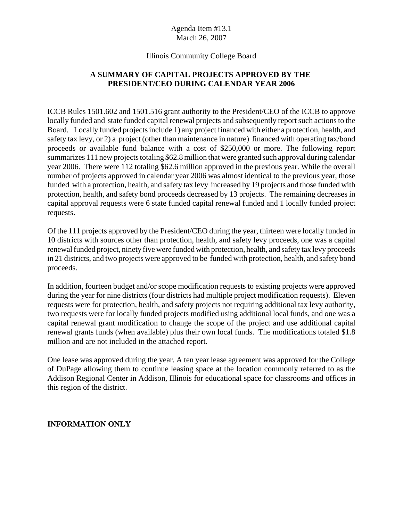## Illinois Community College Board

## **A SUMMARY OF CAPITAL PROJECTS APPROVED BY THE PRESIDENT/CEO DURING CALENDAR YEAR 2006**

ICCB Rules 1501.602 and 1501.516 grant authority to the President/CEO of the ICCB to approve locally funded and state funded capital renewal projects and subsequently report such actions to the Board. Locally funded projects include 1) any project financed with either a protection, health, and safety tax levy, or 2) a project (other than maintenance in nature) financed with operating tax/bond proceeds or available fund balance with a cost of \$250,000 or more. The following report summarizes 111 new projects totaling \$62.8 million that were granted such approval during calendar year 2006. There were 112 totaling \$62.6 million approved in the previous year. While the overall number of projects approved in calendar year 2006 was almost identical to the previous year, those funded with a protection, health, and safety tax levy increased by 19 projects and those funded with protection, health, and safety bond proceeds decreased by 13 projects. The remaining decreases in capital approval requests were 6 state funded capital renewal funded and 1 locally funded project requests.

Of the 111 projects approved by the President/CEO during the year, thirteen were locally funded in 10 districts with sources other than protection, health, and safety levy proceeds, one was a capital renewal funded project, ninety five were funded with protection, health, and safety tax levy proceeds in 21 districts, and two projects were approved to be funded with protection, health, and safety bond proceeds.

In addition, fourteen budget and/or scope modification requests to existing projects were approved during the year for nine districts (four districts had multiple project modification requests). Eleven requests were for protection, health, and safety projects not requiring additional tax levy authority, two requests were for locally funded projects modified using additional local funds, and one was a capital renewal grant modification to change the scope of the project and use additional capital renewal grants funds (when available) plus their own local funds. The modifications totaled \$1.8 million and are not included in the attached report.

One lease was approved during the year. A ten year lease agreement was approved for the College of DuPage allowing them to continue leasing space at the location commonly referred to as the Addison Regional Center in Addison, Illinois for educational space for classrooms and offices in this region of the district.

#### **INFORMATION ONLY**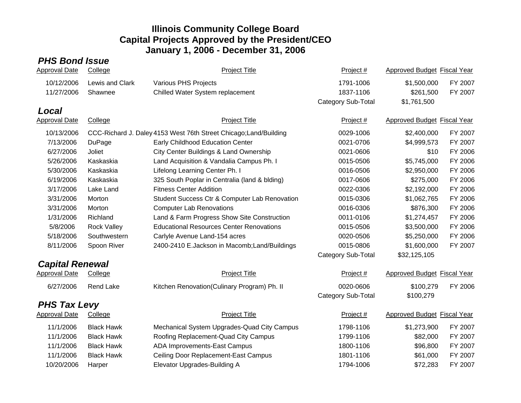# *PHS Bond Issue*

| Approval Date          | College            | <b>Project Title</b>                                              | Project #          | Approved Budget Fiscal Year        |         |
|------------------------|--------------------|-------------------------------------------------------------------|--------------------|------------------------------------|---------|
| 10/12/2006             | Lewis and Clark    | Various PHS Projects                                              | 1791-1006          | \$1,500,000                        | FY 2007 |
| 11/27/2006             | Shawnee            | Chilled Water System replacement                                  | 1837-1106          | \$261,500                          | FY 2007 |
|                        |                    |                                                                   | Category Sub-Total | \$1,761,500                        |         |
| Local                  |                    |                                                                   |                    |                                    |         |
| <b>Approval Date</b>   | College            | <b>Project Title</b>                                              | Project #          | <b>Approved Budget Fiscal Year</b> |         |
| 10/13/2006             |                    | CCC-Richard J. Daley 4153 West 76th Street Chicago; Land/Building | 0029-1006          | \$2,400,000                        | FY 2007 |
| 7/13/2006              | DuPage             | Early Childhood Education Center                                  | 0021-0706          | \$4,999,573                        | FY 2007 |
| 6/27/2006              | Joliet             | City Center Buildings & Land Ownership                            | 0021-0606          | \$10                               | FY 2006 |
| 5/26/2006              | Kaskaskia          | Land Acquisition & Vandalia Campus Ph. I                          | 0015-0506          | \$5,745,000                        | FY 2006 |
| 5/30/2006              | Kaskaskia          | Lifelong Learning Center Ph. I                                    | 0016-0506          | \$2,950,000                        | FY 2006 |
| 6/19/2006              | Kaskaskia          | 325 South Poplar in Centralia (land & blding)                     | 0017-0606          | \$275,000                          | FY 2006 |
| 3/17/2006              | Lake Land          | <b>Fitness Center Addition</b>                                    | 0022-0306          | \$2,192,000                        | FY 2006 |
| 3/31/2006              | Morton             | Student Success Ctr & Computer Lab Renovation                     | 0015-0306          | \$1,062,765                        | FY 2006 |
| 3/31/2006              | Morton             | <b>Computer Lab Renovations</b>                                   | 0016-0306          | \$876,300                          | FY 2006 |
| 1/31/2006              | Richland           | Land & Farm Progress Show Site Construction                       | 0011-0106          | \$1,274,457                        | FY 2006 |
| 5/8/2006               | <b>Rock Valley</b> | <b>Educational Resources Center Renovations</b>                   | 0015-0506          | \$3,500,000                        | FY 2006 |
| 5/18/2006              | Southwestern       | Carlyle Avenue Land-154 acres                                     | 0020-0506          | \$5,250,000                        | FY 2006 |
| 8/11/2006              | Spoon River        | 2400-2410 E.Jackson in Macomb; Land/Buildings                     | 0015-0806          | \$1,600,000                        | FY 2007 |
|                        |                    |                                                                   | Category Sub-Total | \$32,125,105                       |         |
| <b>Capital Renewal</b> |                    |                                                                   |                    |                                    |         |
| <b>Approval Date</b>   | College            | <b>Project Title</b>                                              | Project #          | Approved Budget Fiscal Year        |         |
| 6/27/2006              | <b>Rend Lake</b>   | Kitchen Renovation(Culinary Program) Ph. II                       | 0020-0606          | \$100,279                          | FY 2006 |
|                        |                    |                                                                   | Category Sub-Total | \$100,279                          |         |
| <b>PHS Tax Levy</b>    |                    |                                                                   |                    |                                    |         |
| Approval Date          | College            | <b>Project Title</b>                                              | Project #          | Approved Budget Fiscal Year        |         |
| 11/1/2006              | <b>Black Hawk</b>  | Mechanical System Upgrades-Quad City Campus                       | 1798-1106          | \$1,273,900                        | FY 2007 |
| 11/1/2006              | <b>Black Hawk</b>  | Roofing Replacement-Quad City Campus                              | 1799-1106          | \$82,000                           | FY 2007 |
| 11/1/2006              | <b>Black Hawk</b>  | ADA Improvements-East Campus                                      | 1800-1106          | \$96,800                           | FY 2007 |
| 11/1/2006              | <b>Black Hawk</b>  | Ceiling Door Replacement-East Campus                              | 1801-1106          | \$61,000                           | FY 2007 |
| 10/20/2006             | Harper             | Elevator Upgrades-Building A                                      | 1794-1006          | \$72,283                           | FY 2007 |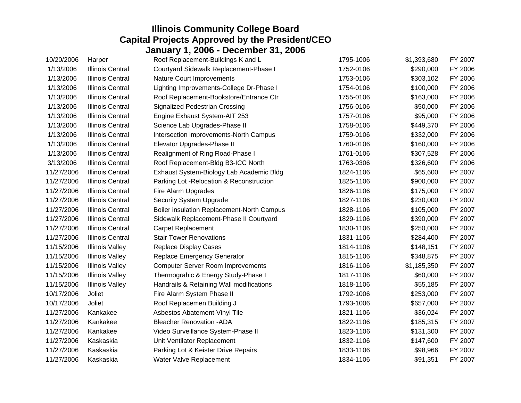| 10/20/2006 | Harper                  | Roof Replacement-Buildings K and L         | 1795-1006 | \$1,393,680 | FY 2007 |
|------------|-------------------------|--------------------------------------------|-----------|-------------|---------|
| 1/13/2006  | <b>Illinois Central</b> | Courtyard Sidewalk Replacement-Phase I     | 1752-0106 | \$290,000   | FY 2006 |
| 1/13/2006  | <b>Illinois Central</b> | <b>Nature Court Improvements</b>           | 1753-0106 | \$303,102   | FY 2006 |
| 1/13/2006  | <b>Illinois Central</b> | Lighting Improvements-College Dr-Phase I   | 1754-0106 | \$100,000   | FY 2006 |
| 1/13/2006  | <b>Illinois Central</b> | Roof Replacement-Bookstore/Entrance Ctr    | 1755-0106 | \$163,000   | FY 2006 |
| 1/13/2006  | <b>Illinois Central</b> | <b>Signalized Pedestrian Crossing</b>      | 1756-0106 | \$50,000    | FY 2006 |
| 1/13/2006  | <b>Illinois Central</b> | Engine Exhaust System-AIT 253              | 1757-0106 | \$95,000    | FY 2006 |
| 1/13/2006  | <b>Illinois Central</b> | Science Lab Upgrades-Phase II              | 1758-0106 | \$449,370   | FY 2006 |
| 1/13/2006  | <b>Illinois Central</b> | Intersection improvements-North Campus     | 1759-0106 | \$332,000   | FY 2006 |
| 1/13/2006  | <b>Illinois Central</b> | Elevator Upgrades-Phase II                 | 1760-0106 | \$160,000   | FY 2006 |
| 1/13/2006  | <b>Illinois Central</b> | Realignment of Ring Road-Phase I           | 1761-0106 | \$307,528   | FY 2006 |
| 3/13/2006  | <b>Illinois Central</b> | Roof Replacement-Bldg B3-ICC North         | 1763-0306 | \$326,600   | FY 2006 |
| 11/27/2006 | <b>Illinois Central</b> | Exhaust System-Biology Lab Academic Bldg   | 1824-1106 | \$65,600    | FY 2007 |
| 11/27/2006 | <b>Illinois Central</b> | Parking Lot - Relocation & Reconstruction  | 1825-1106 | \$900,000   | FY 2007 |
| 11/27/2006 | <b>Illinois Central</b> | Fire Alarm Upgrades                        | 1826-1106 | \$175,000   | FY 2007 |
| 11/27/2006 | <b>Illinois Central</b> | Security System Upgrade                    | 1827-1106 | \$230,000   | FY 2007 |
| 11/27/2006 | <b>Illinois Central</b> | Boiler insulation Replacement-North Campus | 1828-1106 | \$105,000   | FY 2007 |
| 11/27/2006 | <b>Illinois Central</b> | Sidewalk Replacement-Phase II Courtyard    | 1829-1106 | \$390,000   | FY 2007 |
| 11/27/2006 | <b>Illinois Central</b> | <b>Carpet Replacement</b>                  | 1830-1106 | \$250,000   | FY 2007 |
| 11/27/2006 | <b>Illinois Central</b> | <b>Stair Tower Renovations</b>             | 1831-1106 | \$284,400   | FY 2007 |
| 11/15/2006 | <b>Illinois Valley</b>  | <b>Replace Display Cases</b>               | 1814-1106 | \$148,151   | FY 2007 |
| 11/15/2006 | <b>Illinois Valley</b>  | Replace Emergency Generator                | 1815-1106 | \$348,875   | FY 2007 |
| 11/15/2006 | <b>Illinois Valley</b>  | <b>Computer Server Room Improvements</b>   | 1816-1106 | \$1,185,350 | FY 2007 |
| 11/15/2006 | <b>Illinois Valley</b>  | Thermograhic & Energy Study-Phase I        | 1817-1106 | \$60,000    | FY 2007 |
| 11/15/2006 | <b>Illinois Valley</b>  | Handrails & Retaining Wall modifications   | 1818-1106 | \$55,185    | FY 2007 |
| 10/17/2006 | Joliet                  | Fire Alarm System Phase II                 | 1792-1006 | \$253,000   | FY 2007 |
| 10/17/2006 | Joliet                  | Roof Replacemen Building J                 | 1793-1006 | \$657,000   | FY 2007 |
| 11/27/2006 | Kankakee                | Asbestos Abatement-Vinyl Tile              | 1821-1106 | \$36,024    | FY 2007 |
| 11/27/2006 | Kankakee                | <b>Bleacher Renovation -ADA</b>            | 1822-1106 | \$185,315   | FY 2007 |
| 11/27/2006 | Kankakee                | Video Surveillance System-Phase II         | 1823-1106 | \$131,300   | FY 2007 |
| 11/27/2006 | Kaskaskia               | Unit Ventilator Replacement                | 1832-1106 | \$147,600   | FY 2007 |
| 11/27/2006 | Kaskaskia               | Parking Lot & Keister Drive Repairs        | 1833-1106 | \$98,966    | FY 2007 |
| 11/27/2006 | Kaskaskia               | Water Valve Replacement                    | 1834-1106 | \$91,351    | FY 2007 |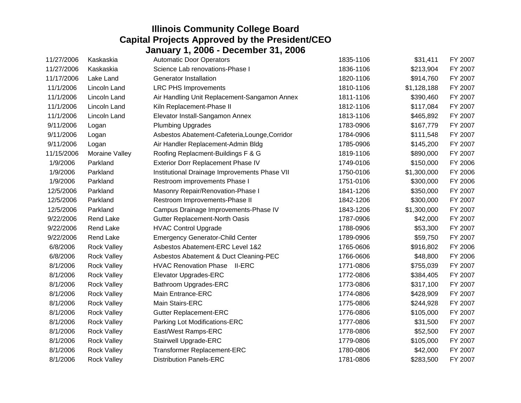| 11/27/2006 | Kaskaskia          | <b>Automatic Door Operators</b>                | 1835-1106 | \$31,411    | FY 2007 |
|------------|--------------------|------------------------------------------------|-----------|-------------|---------|
| 11/27/2006 | Kaskaskia          | Science Lab renovations-Phase I                | 1836-1106 | \$213,904   | FY 2007 |
| 11/17/2006 | Lake Land          | <b>Generator Installation</b>                  | 1820-1106 | \$914,760   | FY 2007 |
| 11/1/2006  | Lincoln Land       | <b>LRC PHS Improvements</b>                    | 1810-1106 | \$1,128,188 | FY 2007 |
| 11/1/2006  | Lincoln Land       | Air Handling Unit Replacement-Sangamon Annex   | 1811-1106 | \$390,460   | FY 2007 |
| 11/1/2006  | Lincoln Land       | Kiln Replacement-Phase II                      | 1812-1106 | \$117,084   | FY 2007 |
| 11/1/2006  | Lincoln Land       | Elevator Install-Sangamon Annex                | 1813-1106 | \$465,892   | FY 2007 |
| 9/11/2006  | Logan              | <b>Plumbing Upgrades</b>                       | 1783-0906 | \$167,779   | FY 2007 |
| 9/11/2006  | Logan              | Asbestos Abatement-Cafeteria, Lounge, Corridor | 1784-0906 | \$111,548   | FY 2007 |
| 9/11/2006  | Logan              | Air Handler Replacement-Admin Bldg             | 1785-0906 | \$145,200   | FY 2007 |
| 11/15/2006 | Moraine Valley     | Roofing Replacment-Buildings F & G             | 1819-1106 | \$890,000   | FY 2007 |
| 1/9/2006   | Parkland           | Exterior Dorr Replacement Phase IV             | 1749-0106 | \$150,000   | FY 2006 |
| 1/9/2006   | Parkland           | Institutional Drainage Improvements Phase VII  | 1750-0106 | \$1,300,000 | FY 2006 |
| 1/9/2006   | Parkland           | Restroom improvements Phase I                  | 1751-0106 | \$300,000   | FY 2006 |
| 12/5/2006  | Parkland           | Masonry Repair/Renovation-Phase I              | 1841-1206 | \$350,000   | FY 2007 |
| 12/5/2006  | Parkland           | Restroom Improvements-Phase II                 | 1842-1206 | \$300,000   | FY 2007 |
| 12/5/2006  | Parkland           | Campus Drainage Improvements-Phase IV          | 1843-1206 | \$1,300,000 | FY 2007 |
| 9/22/2006  | Rend Lake          | Gutter Replacement-North Oasis                 | 1787-0906 | \$42,000    | FY 2007 |
| 9/22/2006  | Rend Lake          | <b>HVAC Control Upgrade</b>                    | 1788-0906 | \$53,300    | FY 2007 |
| 9/22/2006  | Rend Lake          | <b>Emergency Generator-Child Center</b>        | 1789-0906 | \$59,750    | FY 2007 |
| 6/8/2006   | <b>Rock Valley</b> | Asbestos Abatement-ERC Level 1&2               | 1765-0606 | \$916,802   | FY 2006 |
| 6/8/2006   | <b>Rock Valley</b> | Asbestos Abatement & Duct Cleaning-PEC         | 1766-0606 | \$48,800    | FY 2006 |
| 8/1/2006   | <b>Rock Valley</b> | <b>HVAC Renovation Phase II-ERC</b>            | 1771-0806 | \$755,039   | FY 2007 |
| 8/1/2006   | <b>Rock Valley</b> | <b>Elevator Upgrades-ERC</b>                   | 1772-0806 | \$384,405   | FY 2007 |
| 8/1/2006   | <b>Rock Valley</b> | Bathroom Upgrades-ERC                          | 1773-0806 | \$317,100   | FY 2007 |
| 8/1/2006   | <b>Rock Valley</b> | Main Entrance-ERC                              | 1774-0806 | \$428,909   | FY 2007 |
| 8/1/2006   | <b>Rock Valley</b> | Main Stairs-ERC                                | 1775-0806 | \$244,928   | FY 2007 |
| 8/1/2006   | <b>Rock Valley</b> | <b>Gutter Replacement-ERC</b>                  | 1776-0806 | \$105,000   | FY 2007 |
| 8/1/2006   | <b>Rock Valley</b> | Parking Lot Modifications-ERC                  | 1777-0806 | \$31,500    | FY 2007 |
| 8/1/2006   | <b>Rock Valley</b> | East/West Ramps-ERC                            | 1778-0806 | \$52,500    | FY 2007 |
| 8/1/2006   | <b>Rock Valley</b> | Stairwell Upgrade-ERC                          | 1779-0806 | \$105,000   | FY 2007 |
| 8/1/2006   | <b>Rock Valley</b> | Transformer Replacement-ERC                    | 1780-0806 | \$42,000    | FY 2007 |
| 8/1/2006   | <b>Rock Valley</b> | <b>Distribution Panels-ERC</b>                 | 1781-0806 | \$283,500   | FY 2007 |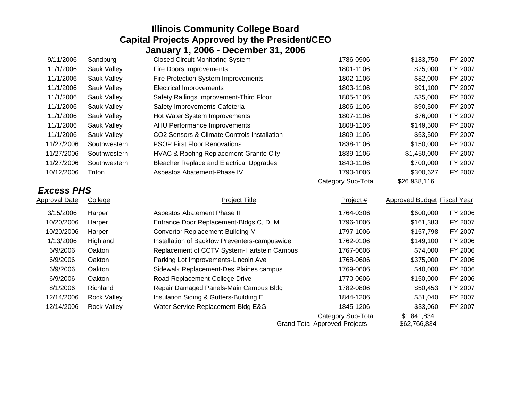| 9/11/2006         | Sandburg           | <b>Closed Circuit Monitoring System</b>         | 1786-0906                 | \$183,750                   | FY 2007 |
|-------------------|--------------------|-------------------------------------------------|---------------------------|-----------------------------|---------|
| 11/1/2006         | Sauk Valley        | <b>Fire Doors Improvements</b>                  | 1801-1106                 | \$75,000                    | FY 2007 |
| 11/1/2006         | Sauk Valley        | Fire Protection System Improvements             | 1802-1106                 | \$82,000                    | FY 2007 |
| 11/1/2006         | Sauk Valley        | <b>Electrical Improvements</b>                  | 1803-1106                 | \$91,100                    | FY 2007 |
| 11/1/2006         | Sauk Valley        | Safety Railings Improvement-Third Floor         | 1805-1106                 | \$35,000                    | FY 2007 |
| 11/1/2006         | Sauk Valley        | Safety Improvements-Cafeteria                   | 1806-1106                 | \$90,500                    | FY 2007 |
| 11/1/2006         | Sauk Valley        | Hot Water System Improvements                   | 1807-1106                 | \$76,000                    | FY 2007 |
| 11/1/2006         | Sauk Valley        | AHU Performance Improvements                    | 1808-1106                 | \$149,500                   | FY 2007 |
| 11/1/2006         | Sauk Valley        | CO2 Sensors & Climate Controls Installation     | 1809-1106                 | \$53,500                    | FY 2007 |
| 11/27/2006        | Southwestern       | <b>PSOP First Floor Renovations</b>             | 1838-1106                 | \$150,000                   | FY 2007 |
| 11/27/2006        | Southwestern       | HVAC & Roofing Replacement-Granite City         | 1839-1106                 | \$1,450,000                 | FY 2007 |
| 11/27/2006        | Southwestern       | <b>Bleacher Replace and Electrical Upgrades</b> | 1840-1106                 | \$700,000                   | FY 2007 |
| 10/12/2006        | Triton             | Asbestos Abatement-Phase IV                     | 1790-1006                 | \$300,627                   | FY 2007 |
|                   |                    |                                                 | <b>Category Sub-Total</b> | \$26,938,116                |         |
| <b>Excess PHS</b> |                    |                                                 |                           |                             |         |
| Approval Date     | College            | <b>Project Title</b>                            | Project #                 | Approved Budget Fiscal Year |         |
| 3/15/2006         | Harper             | Asbestos Abatement Phase III                    | 1764-0306                 | \$600,000                   | FY 2006 |
| 10/20/2006        | Harper             | Entrance Door Replacement-Bldgs C, D, M         | 1796-1006                 | \$161,383                   | FY 2007 |
| 10/20/2006        | Harper             | Convertor Replacement-Building M                | 1797-1006                 | \$157,798                   | FY 2007 |
| 1/13/2006         | Highland           | Installation of Backfow Preventers-campuswide   | 1762-0106                 | \$149,100                   | FY 2006 |
| 6/9/2006          | Oakton             | Replacement of CCTV System-Hartstein Campus     | 1767-0606                 | \$74,000                    | FY 2006 |
| 6/9/2006          | Oakton             | Parking Lot Improvements-Lincoln Ave            | 1768-0606                 | \$375,000                   | FY 2006 |
| 6/9/2006          | Oakton             | Sidewalk Replacement-Des Plaines campus         | 1769-0606                 | \$40,000                    | FY 2006 |
| 6/9/2006          | Oakton             | Road Replacement-College Drive                  | 1770-0606                 | \$150,000                   | FY 2006 |
| 8/1/2006          |                    |                                                 |                           |                             |         |
|                   | Richland           | Repair Damaged Panels-Main Campus Bldg          | 1782-0806                 | \$50,453                    | FY 2007 |
| 12/14/2006        | <b>Rock Valley</b> | Insulation Siding & Gutters-Building E          | 1844-1206                 | \$51,040                    | FY 2007 |
| 12/14/2006        | <b>Rock Valley</b> | Water Service Replacement-Bldg E&G              | 1845-1206                 | \$33,060                    | FY 2007 |

Category Sub-Total \$1,841,834<br>Approved Projects \$62,766,834 Grand Total Approved Projects